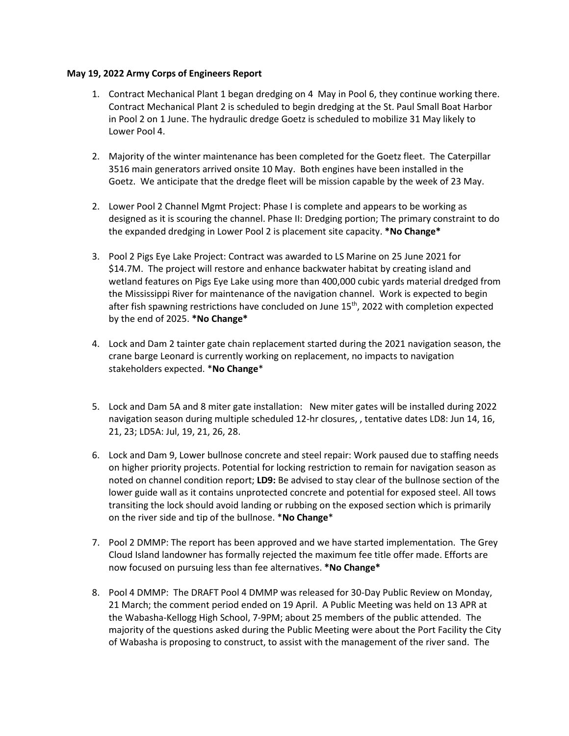## **May 19, 2022 Army Corps of Engineers Report**

- 1. Contract Mechanical Plant 1 began dredging on 4 May in Pool 6, they continue working there. Contract Mechanical Plant 2 is scheduled to begin dredging at the St. Paul Small Boat Harbor in Pool 2 on 1 June. The hydraulic dredge Goetz is scheduled to mobilize 31 May likely to Lower Pool 4.
- 2. Majority of the winter maintenance has been completed for the Goetz fleet. The Caterpillar 3516 main generators arrived onsite 10 May. Both engines have been installed in the Goetz. We anticipate that the dredge fleet will be mission capable by the week of 23 May.
- 2. Lower Pool 2 Channel Mgmt Project: Phase I is complete and appears to be working as designed as it is scouring the channel. Phase II: Dredging portion; The primary constraint to do the expanded dredging in Lower Pool 2 is placement site capacity. **\*No Change\***
- 3. Pool 2 Pigs Eye Lake Project: Contract was awarded to LS Marine on 25 June 2021 for \$14.7M. The project will restore and enhance backwater habitat by creating island and wetland features on Pigs Eye Lake using more than 400,000 cubic yards material dredged from the Mississippi River for maintenance of the navigation channel. Work is expected to begin after fish spawning restrictions have concluded on June 15<sup>th</sup>, 2022 with completion expected by the end of 2025. **\*No Change\***
- 4. Lock and Dam 2 tainter gate chain replacement started during the 2021 navigation season, the crane barge Leonard is currently working on replacement, no impacts to navigation stakeholders expected. \***No Change**\*
- 5. Lock and Dam 5A and 8 miter gate installation: New miter gates will be installed during 2022 navigation season during multiple scheduled 12-hr closures, , tentative dates LD8: Jun 14, 16, 21, 23; LD5A: Jul, 19, 21, 26, 28.
- 6. Lock and Dam 9, Lower bullnose concrete and steel repair: Work paused due to staffing needs on higher priority projects. Potential for locking restriction to remain for navigation season as noted on channel condition report; **LD9:** Be advised to stay clear of the bullnose section of the lower guide wall as it contains unprotected concrete and potential for exposed steel. All tows transiting the lock should avoid landing or rubbing on the exposed section which is primarily on the river side and tip of the bullnose. \***No Change**\*
- 7. Pool 2 DMMP: The report has been approved and we have started implementation. The Grey Cloud Island landowner has formally rejected the maximum fee title offer made. Efforts are now focused on pursuing less than fee alternatives. **\*No Change\***
- 8. Pool 4 DMMP: The DRAFT Pool 4 DMMP was released for 30-Day Public Review on Monday, 21 March; the comment period ended on 19 April. A Public Meeting was held on 13 APR at the Wabasha-Kellogg High School, 7-9PM; about 25 members of the public attended. The majority of the questions asked during the Public Meeting were about the Port Facility the City of Wabasha is proposing to construct, to assist with the management of the river sand. The